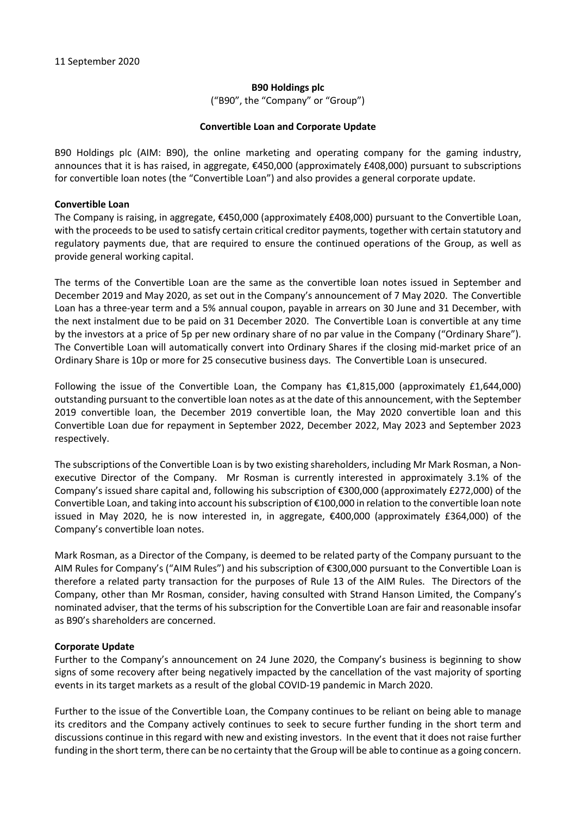#### **B90 Holdings plc**

("B90", the "Company" or "Group")

### **Convertible Loan and Corporate Update**

B90 Holdings plc (AIM: B90), the online marketing and operating company for the gaming industry, announces that it is has raised, in aggregate, €450,000 (approximately £408,000) pursuant to subscriptions for convertible loan notes (the "Convertible Loan") and also provides a general corporate update.

### **Convertible Loan**

The Company is raising, in aggregate, €450,000 (approximately £408,000) pursuant to the Convertible Loan, with the proceeds to be used to satisfy certain critical creditor payments, together with certain statutory and regulatory payments due, that are required to ensure the continued operations of the Group, as well as provide general working capital.

The terms of the Convertible Loan are the same as the convertible loan notes issued in September and December 2019 and May 2020, as set out in the Company's announcement of 7 May 2020. The Convertible Loan has a three-year term and a 5% annual coupon, payable in arrears on 30 June and 31 December, with the next instalment due to be paid on 31 December 2020. The Convertible Loan is convertible at any time by the investors at a price of 5p per new ordinary share of no par value in the Company ("Ordinary Share"). The Convertible Loan will automatically convert into Ordinary Shares if the closing mid-market price of an Ordinary Share is 10p or more for 25 consecutive business days. The Convertible Loan is unsecured.

Following the issue of the Convertible Loan, the Company has €1,815,000 (approximately £1,644,000) outstanding pursuant to the convertible loan notes as at the date of this announcement, with the September 2019 convertible loan, the December 2019 convertible loan, the May 2020 convertible loan and this Convertible Loan due for repayment in September 2022, December 2022, May 2023 and September 2023 respectively.

The subscriptions of the Convertible Loan is by two existing shareholders, including Mr Mark Rosman, a Nonexecutive Director of the Company. Mr Rosman is currently interested in approximately 3.1% of the Company's issued share capital and, following his subscription of €300,000 (approximately £272,000) of the Convertible Loan, and taking into account his subscription of €100,000 in relation to the convertible loan note issued in May 2020, he is now interested in, in aggregate, €400,000 (approximately £364,000) of the Company's convertible loan notes.

Mark Rosman, as a Director of the Company, is deemed to be related party of the Company pursuant to the AIM Rules for Company's ("AIM Rules") and his subscription of €300,000 pursuant to the Convertible Loan is therefore a related party transaction for the purposes of Rule 13 of the AIM Rules. The Directors of the Company, other than Mr Rosman, consider, having consulted with Strand Hanson Limited, the Company's nominated adviser, that the terms of his subscription for the Convertible Loan are fair and reasonable insofar as B90's shareholders are concerned.

### **Corporate Update**

Further to the Company's announcement on 24 June 2020, the Company's business is beginning to show signs of some recovery after being negatively impacted by the cancellation of the vast majority of sporting events in its target markets as a result of the global COVID-19 pandemic in March 2020.

Further to the issue of the Convertible Loan, the Company continues to be reliant on being able to manage its creditors and the Company actively continues to seek to secure further funding in the short term and discussions continue in this regard with new and existing investors. In the event that it does not raise further funding in the short term, there can be no certainty that the Group will be able to continue as a going concern.